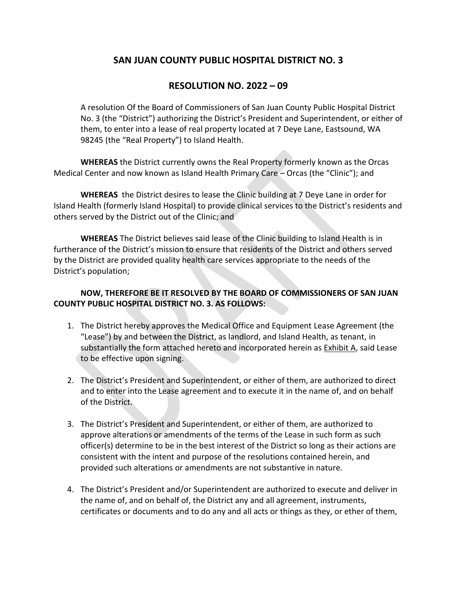## **SAN JUAN COUNTY PUBLIC HOSPITAL DISTRICT NO. 3**

## **RESOLUTION NO. 2022 – 09**

A resolution Of the Board of Commissioners of San Juan County Public Hospital District No. 3 (the "District") authorizing the District's President and Superintendent, or either of them, to enter into a lease of real property located at 7 Deye Lane, Eastsound, WA 98245 (the "Real Property") to Island Health.

**WHEREAS** the District currently owns the Real Property formerly known as the Orcas Medical Center and now known as Island Health Primary Care – Orcas (the "Clinic"); and

**WHEREAS** the District desires to lease the Clinic building at 7 Deye Lane in order for Island Health (formerly Island Hospital) to provide clinical services to the District's residents and others served by the District out of the Clinic; and

**WHEREAS** The District believes said lease of the Clinic building to Island Health is in furtherance of the District's mission to ensure that residents of the District and others served by the District are provided quality health care services appropriate to the needs of the District's population;

## **NOW, THEREFORE BE IT RESOLVED BY THE BOARD OF COMMISSIONERS OF SAN JUAN COUNTY PUBLIC HOSPITAL DISTRICT NO. 3. AS FOLLOWS:**

- 1. The District hereby approves the Medical Office and Equipment Lease Agreement (the "Lease") by and between the District, as landlord, and Island Health, as tenant, in substantially the form attached hereto and incorporated herein as Exhibit A, said Lease to be effective upon signing.
- 2. The District's President and Superintendent, or either of them, are authorized to direct and to enter into the Lease agreement and to execute it in the name of, and on behalf of the District.
- 3. The District's President and Superintendent, or either of them, are authorized to approve alterations or amendments of the terms of the Lease in such form as such officer(s) determine to be in the best interest of the District so long as their actions are consistent with the intent and purpose of the resolutions contained herein, and provided such alterations or amendments are not substantive in nature.
- 4. The District's President and/or Superintendent are authorized to execute and deliver in the name of, and on behalf of, the District any and all agreement, instruments, certificates or documents and to do any and all acts or things as they, or ether of them,